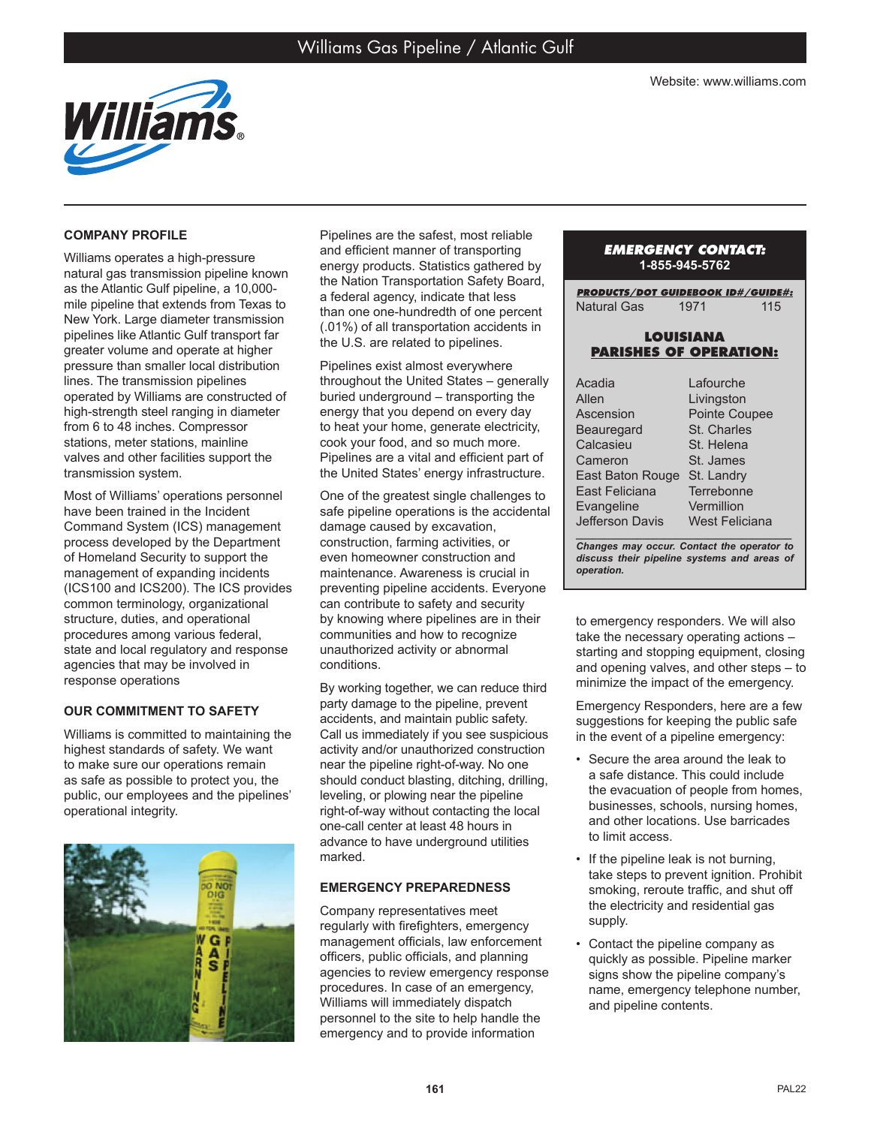

## **COMPANY PROFILE**

Williams operates a high-pressure natural gas transmission pipeline known as the Atlantic Gulf pipeline, a 10,000 mile pipeline that extends from Texas to New York. Large diameter transmission pipelines like Atlantic Gulf transport far greater volume and operate at higher pressure than smaller local distribution lines. The transmission pipelines operated by Williams are constructed of high-strength steel ranging in diameter from 6 to 48 inches. Compressor stations, meter stations, mainline valves and other facilities support the transmission system.

Most of Williams' operations personnel have been trained in the Incident Command System (ICS) management process developed by the Department of Homeland Security to support the management of expanding incidents (ICS100 and ICS200). The ICS provides common terminology, organizational structure, duties, and operational procedures among various federal, state and local regulatory and response agencies that may be involved in response operations

# **OUR COMMITMENT TO SAFETY**

Williams is committed to maintaining the highest standards of safety. We want to make sure our operations remain as safe as possible to protect you, the public, our employees and the pipelines' operational integrity.



Pipelines are the safest, most reliable and efficient manner of transporting energy products. Statistics gathered by the Nation Transportation Safety Board, a federal agency, indicate that less than one one-hundredth of one percent (.01%) of all transportation accidents in the U.S. are related to pipelines.

Pipelines exist almost everywhere throughout the United States – generally buried underground – transporting the energy that you depend on every day to heat your home, generate electricity, cook your food, and so much more. Pipelines are a vital and efficient part of the United States' energy infrastructure.

One of the greatest single challenges to safe pipeline operations is the accidental damage caused by excavation, construction, farming activities, or even homeowner construction and maintenance. Awareness is crucial in preventing pipeline accidents. Everyone can contribute to safety and security by knowing where pipelines are in their communities and how to recognize unauthorized activity or abnormal conditions.

By working together, we can reduce third party damage to the pipeline, prevent accidents, and maintain public safety. Call us immediately if you see suspicious activity and/or unauthorized construction near the pipeline right-of-way. No one should conduct blasting, ditching, drilling, leveling, or plowing near the pipeline right-of-way without contacting the local one-call center at least 48 hours in advance to have underground utilities marked.

# **EMERGENCY PREPAREDNESS**

Company representatives meet regularly with firefighters, emergency management officials, law enforcement officers, public officials, and planning agencies to review emergency response procedures. In case of an emergency, Williams will immediately dispatch personnel to the site to help handle the emergency and to provide information

## *EMERGENCY CONTACT:* **1-855-945-5762**

*PRODUCTS/DOT GUIDEBOOK ID#/GUIDE#:* Natural Gas 1971 115

## **LOUISIANA PARISHES OF OPERATION:**

| Acadia           | Lafourche             |
|------------------|-----------------------|
| Allen            | Livingston            |
| Ascension        | Pointe Coupee         |
| Beauregard       | St. Charles           |
| Calcasieu        | St. Helena            |
| Cameron          | St. James             |
| East Baton Rouge | St. Landry            |
| East Feliciana   | Terrebonne            |
| Evangeline       | Vermillion            |
| Jefferson Davis  | <b>West Feliciana</b> |

*\_\_\_\_\_\_\_\_\_\_\_\_\_\_\_\_\_\_\_\_\_\_\_\_\_\_\_\_\_\_\_\_\_\_\_\_\_\_\_ Changes may occur. Contact the operator to discuss their pipeline systems and areas of operation.*

to emergency responders. We will also take the necessary operating actions – starting and stopping equipment, closing and opening valves, and other steps – to minimize the impact of the emergency.

Emergency Responders, here are a few suggestions for keeping the public safe in the event of a pipeline emergency:

- Secure the area around the leak to a safe distance. This could include the evacuation of people from homes, businesses, schools, nursing homes, and other locations. Use barricades to limit access.
- If the pipeline leak is not burning, take steps to prevent ignition. Prohibit smoking, reroute traffic, and shut off the electricity and residential gas supply.
- Contact the pipeline company as quickly as possible. Pipeline marker signs show the pipeline company's name, emergency telephone number, and pipeline contents.